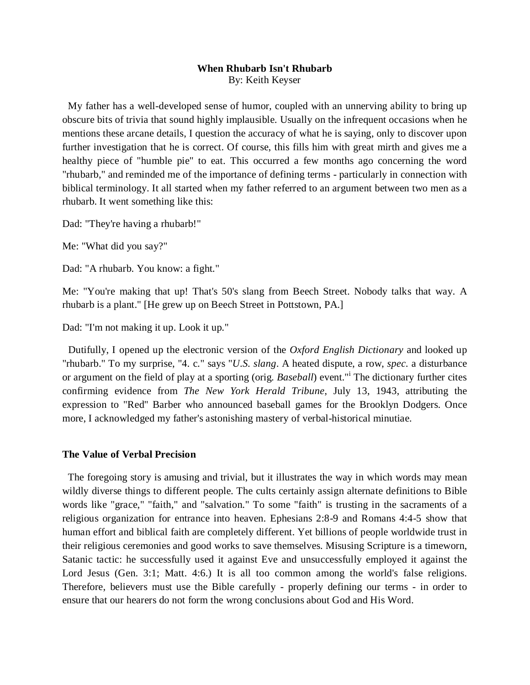## **When Rhubarb Isn't Rhubarb** By: Keith Keyser

My father has a well-developed sense of humor, coupled with an unnerving ability to bring up obscure bits of trivia that sound highly implausible. Usually on the infrequent occasions when he mentions these arcane details, I question the accuracy of what he is saying, only to discover upon further investigation that he is correct. Of course, this fills him with great mirth and gives me a healthy piece of "humble pie" to eat. This occurred a few months ago concerning the word "rhubarb," and reminded me of the importance of defining terms - particularly in connection with biblical terminology. It all started when my father referred to an argument between two men as a rhubarb. It went something like this:

Dad: "They're having a rhubarb!"

Me: "What did you say?"

Dad: "A rhubarb. You know: a fight."

Me: "You're making that up! That's 50's slang from Beech Street. Nobody talks that way. A rhubarb is a plant." [He grew up on Beech Street in Pottstown, PA.]

Dad: "I'm not making it up. Look it up."

Dutifully, I opened up the electronic version of the *Oxford English Dictionary* and looked up "rhubarb." To my surprise, "4. c." says "*U.S. slang*. A heated dispute, a row, *spec.* a disturbance or argument on the field of play at a sporting (orig*. Baseball*) event."<sup>i</sup> The dictionary further cites confirming evidence from *The New York Herald Tribune*, July 13, 1943, attributing the expression to "Red" Barber who announced baseball games for the Brooklyn Dodgers. Once more, I acknowledged my father's astonishing mastery of verbal-historical minutiae.

## **The Value of Verbal Precision**

The foregoing story is amusing and trivial, but it illustrates the way in which words may mean wildly diverse things to different people. The cults certainly assign alternate definitions to Bible words like "grace," "faith," and "salvation." To some "faith" is trusting in the sacraments of a religious organization for entrance into heaven. Ephesians 2:8-9 and Romans 4:4-5 show that human effort and biblical faith are completely different. Yet billions of people worldwide trust in their religious ceremonies and good works to save themselves. Misusing Scripture is a timeworn, Satanic tactic: he successfully used it against Eve and unsuccessfully employed it against the Lord Jesus (Gen. 3:1; Matt. 4:6.) It is all too common among the world's false religions. Therefore, believers must use the Bible carefully - properly defining our terms - in order to ensure that our hearers do not form the wrong conclusions about God and His Word.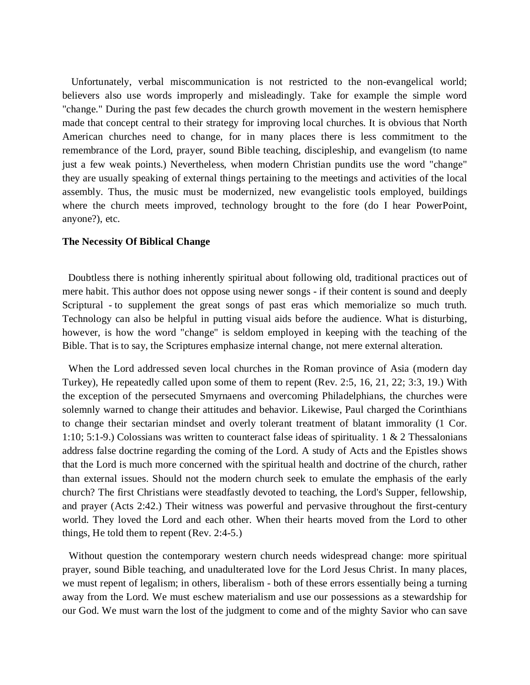Unfortunately, verbal miscommunication is not restricted to the non-evangelical world; believers also use words improperly and misleadingly. Take for example the simple word "change." During the past few decades the church growth movement in the western hemisphere made that concept central to their strategy for improving local churches. It is obvious that North American churches need to change, for in many places there is less commitment to the remembrance of the Lord, prayer, sound Bible teaching, discipleship, and evangelism (to name just a few weak points.) Nevertheless, when modern Christian pundits use the word "change" they are usually speaking of external things pertaining to the meetings and activities of the local assembly. Thus, the music must be modernized, new evangelistic tools employed, buildings where the church meets improved, technology brought to the fore (do I hear PowerPoint, anyone?), etc.

## **The Necessity Of Biblical Change**

Doubtless there is nothing inherently spiritual about following old, traditional practices out of mere habit. This author does not oppose using newer songs - if their content is sound and deeply Scriptural - to supplement the great songs of past eras which memorialize so much truth. Technology can also be helpful in putting visual aids before the audience. What is disturbing, however, is how the word "change" is seldom employed in keeping with the teaching of the Bible. That is to say, the Scriptures emphasize internal change, not mere external alteration.

When the Lord addressed seven local churches in the Roman province of Asia (modern day Turkey), He repeatedly called upon some of them to repent (Rev. 2:5, 16, 21, 22; 3:3, 19.) With the exception of the persecuted Smyrnaens and overcoming Philadelphians, the churches were solemnly warned to change their attitudes and behavior. Likewise, Paul charged the Corinthians to change their sectarian mindset and overly tolerant treatment of blatant immorality (1 Cor. 1:10; 5:1-9.) Colossians was written to counteract false ideas of spirituality. 1 & 2 Thessalonians address false doctrine regarding the coming of the Lord. A study of Acts and the Epistles shows that the Lord is much more concerned with the spiritual health and doctrine of the church, rather than external issues. Should not the modern church seek to emulate the emphasis of the early church? The first Christians were steadfastly devoted to teaching, the Lord's Supper, fellowship, and prayer (Acts 2:42.) Their witness was powerful and pervasive throughout the first-century world. They loved the Lord and each other. When their hearts moved from the Lord to other things, He told them to repent (Rev. 2:4-5.)

Without question the contemporary western church needs widespread change: more spiritual prayer, sound Bible teaching, and unadulterated love for the Lord Jesus Christ. In many places, we must repent of legalism; in others, liberalism - both of these errors essentially being a turning away from the Lord. We must eschew materialism and use our possessions as a stewardship for our God. We must warn the lost of the judgment to come and of the mighty Savior who can save